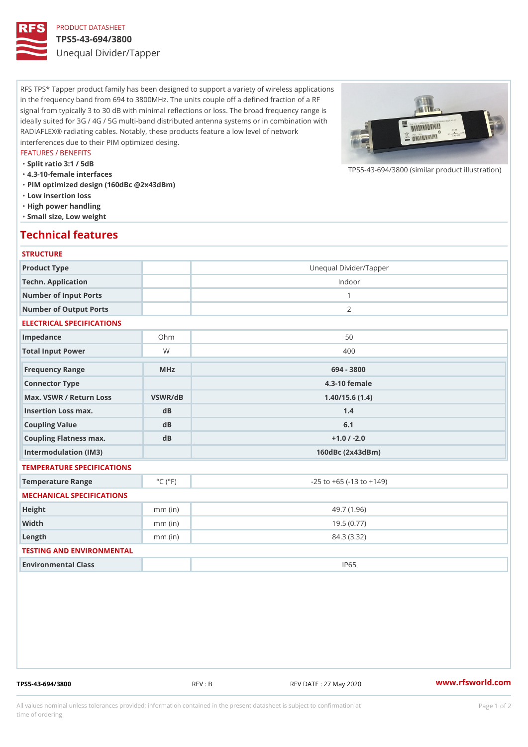## PRODUCT DATASHEET

#### TPS5-43-694/3800

Unequal Divider/Tapper

RFS TPS\* Tapper product family has been designed to support a variety of wireless applications in the frequency band from 694 to 3800MHz. The units couple off a defined fraction of a RF signal from typically 3 to 30 dB with minimal reflections or loss. The broad frequency range is ideally suited for 3G / 4G / 5G multi-band distributed antenna systems or in combination with RADIAFLEX® radiating cables. Notably, these products feature a low level of network interferences due to their PIM optimized desing.

#### FEATURES / BENEFITS

"Split ratio 3:1 / 5dB

- "4.3-10-female interfaces
- "PIM optimized design (160dBc @2x43dBm)
- "Low insertion loss
- "High power handling
- "Small size, Low weight

## Technical features

### **STRUCTURE**

| Product Type                   |                             | Unequal Divider/Tapper             |
|--------------------------------|-----------------------------|------------------------------------|
| Techn. Application             |                             | Indoor                             |
| Number of Input Ports          |                             | $\mathbf{1}$                       |
| Number of Output Ports         |                             | 2                                  |
| ELECTRICAL SPECIFICATIONS      |                             |                                    |
| Impedance                      | $Oh$ m                      | 50                                 |
| Total Input Power              | W                           | 400                                |
| Frequency Range                | MHz                         | 694 - 3800                         |
| Connector Type                 |                             | $4.3 - 10$ female                  |
| Max. VSWR / Return LossVSWR/dB |                             | 1.40/15.6(1.4)                     |
| Insertion Loss max.            | d <sub>B</sub>              | 1.4                                |
| Coupling Value                 | dB                          | 6.1                                |
| Coupling Flatness max.         | dB                          | $+1.0 / -2.0$                      |
| Intermodulation (IM3)          |                             | $160dBc$ $(2x43dBm)$               |
| TEMPERATURE SPECIFICATIONS     |                             |                                    |
| Temperature Range              | $^{\circ}$ C ( $^{\circ}$ F | $-25$ to $+65$ ( $-13$ to $+149$ ) |
| MECHANICAL SPECIFICATIONS      |                             |                                    |
| Height                         | $mm$ (in)                   | 49.7(1.96)                         |
| Width                          | $mm$ (in)                   | 19.5(0.77)                         |
| $L$ ength                      | $mm$ (in)                   | 84.3 (3.32)                        |
| TESTING AND ENVIRONMENTAL      |                             |                                    |
| Environmental Class            |                             | <b>IP65</b>                        |

TPS5-43-694/3800 REV : B REV DATE : 27 May 2020 [www.](https://www.rfsworld.com)rfsworld.com

 $TPS5-43-694/3800$  (similar product

All values nominal unless tolerances provided; information contained in the present datasheet is subject to Pcapgeign manation time of ordering